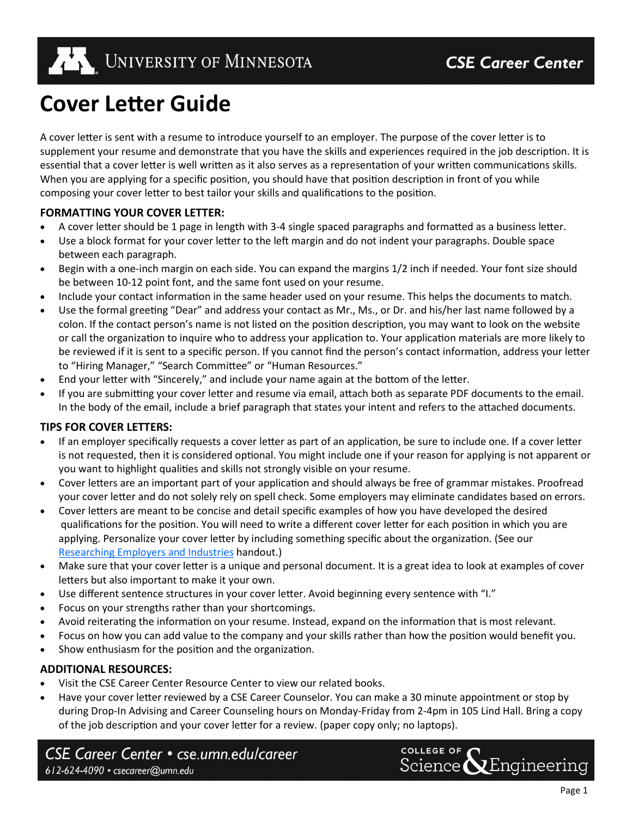

# **Cover Letter Guide**

A cover letter is sent with a resume to introduce yourself to an employer. The purpose of the cover letter is to supplement your resume and demonstrate that you have the skills and experiences required in the job description. It is essential that a cover letter is well written as it also serves as a representation of your written communications skills. When you are applying for a specific position, you should have that position description in front of you while composing your cover letter to best tailor your skills and qualifications to the position.

# **FORMATTING YOUR COVER LETTER:**

- A cover letter should be 1 page in length with 3-4 single spaced paragraphs and formatted as a business letter.
- Use a block format for your cover letter to the left margin and do not indent your paragraphs. Double space between each paragraph.
- Begin with a one-inch margin on each side. You can expand the margins 1/2 inch if needed. Your font size should be between 10-12 point font, and the same font used on your resume.
- Include your contact information in the same header used on your resume. This helps the documents to match.
- Use the formal greeting "Dear" and address your contact as Mr., Ms., or Dr. and his/her last name followed by a colon. If the contact person's name is not listed on the position description, you may want to look on the website or call the organization to inquire who to address your application to. Your application materials are more likely to be reviewed if it is sent to a specific person. If you cannot find the person's contact information, address your letter to "Hiring Manager," "Search Committee" or "Human Resources."
- End your letter with "Sincerely," and include your name again at the bottom of the letter.
- If you are submitting your cover letter and resume via email, attach both as separate PDF documents to the email. In the body of the email, include a brief paragraph that states your intent and refers to the attached documents.

# **TIPS FOR COVER LETTERS:**

- If an employer specifically requests a cover letter as part of an application, be sure to include one. If a cover letter is not requested, then it is considered optional. You might include one if your reason for applying is not apparent or you want to highlight qualities and skills not strongly visible on your resume.
- Cover letters are an important part of your application and should always be free of grammar mistakes. Proofread your cover letter and do not solely rely on spell check. Some employers may eliminate candidates based on errors.
- Cover letters are meant to be concise and detail specific examples of how you have developed the desired qualifications for the position. You will need to write a different cover letter for each position in which you are applying. Personalize your cover letter by including something specific about the organization. (See our [Researching Employers and Industries](https://cse.umn.edu/wp-content/uploads/2014/10/ResearchingEmployersv2.pdf) handout.)
- Make sure that your cover letter is a unique and personal document. It is a great idea to look at examples of cover letters but also important to make it your own.
- Use different sentence structures in your cover letter. Avoid beginning every sentence with "I."
- Focus on your strengths rather than your shortcomings.
- Avoid reiterating the information on your resume. Instead, expand on the information that is most relevant.
- Focus on how you can add value to the company and your skills rather than how the position would benefit you.
- Show enthusiasm for the position and the organization.

# **ADDITIONAL RESOURCES:**

- Visit the CSE Career Center Resource Center to view our related books.
- Have your cover letter reviewed by a CSE Career Counselor. You can make a 30 minute appointment or stop by during Drop-In Advising and Career Counseling hours on Monday-Friday from 2-4pm in 105 Lind Hall. Bring a copy of the job description and your cover letter for a review. (paper copy only; no laptops).

CSE Career Center • cse.umn.edu/career 612-624-4090 · csecareer@umn.edu

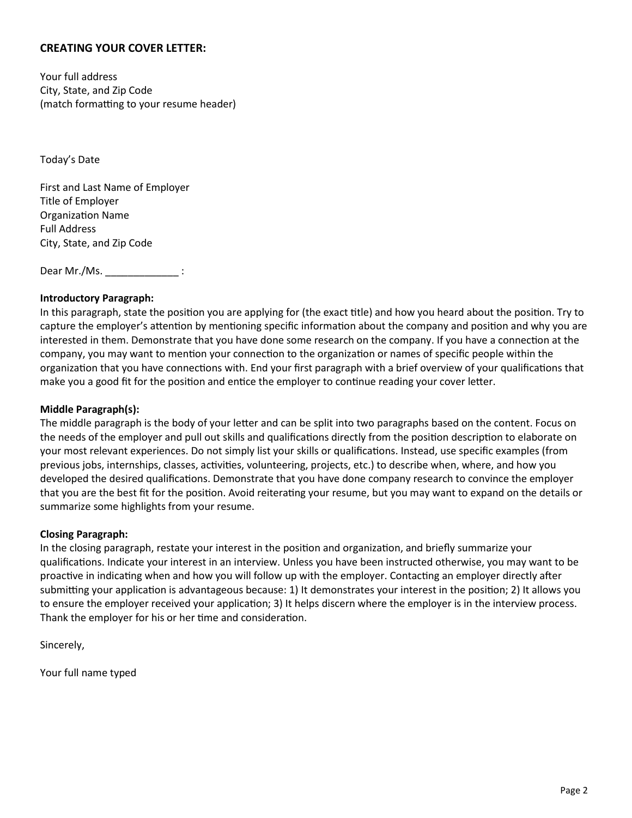# **CREATING YOUR COVER LETTER:**

Your full address City, State, and Zip Code (match formatting to your resume header)

Today's Date

First and Last Name of Employer Title of Employer Organization Name Full Address City, State, and Zip Code

Dear Mr./Ms. \_\_\_\_\_\_\_\_\_\_\_\_\_\_\_\_\_\_ :

#### **Introductory Paragraph:**

In this paragraph, state the position you are applying for (the exact title) and how you heard about the position. Try to capture the employer's attention by mentioning specific information about the company and position and why you are interested in them. Demonstrate that you have done some research on the company. If you have a connection at the company, you may want to mention your connection to the organization or names of specific people within the organization that you have connections with. End your first paragraph with a brief overview of your qualifications that make you a good fit for the position and entice the employer to continue reading your cover letter.

#### **Middle Paragraph(s):**

The middle paragraph is the body of your letter and can be split into two paragraphs based on the content. Focus on the needs of the employer and pull out skills and qualifications directly from the position description to elaborate on your most relevant experiences. Do not simply list your skills or qualifications. Instead, use specific examples (from previous jobs, internships, classes, activities, volunteering, projects, etc.) to describe when, where, and how you developed the desired qualifications. Demonstrate that you have done company research to convince the employer that you are the best fit for the position. Avoid reiterating your resume, but you may want to expand on the details or summarize some highlights from your resume.

#### **Closing Paragraph:**

In the closing paragraph, restate your interest in the position and organization, and briefly summarize your qualifications. Indicate your interest in an interview. Unless you have been instructed otherwise, you may want to be proactive in indicating when and how you will follow up with the employer. Contacting an employer directly after submitting your application is advantageous because: 1) It demonstrates your interest in the position; 2) It allows you to ensure the employer received your application; 3) It helps discern where the employer is in the interview process. Thank the employer for his or her time and consideration.

Sincerely,

Your full name typed